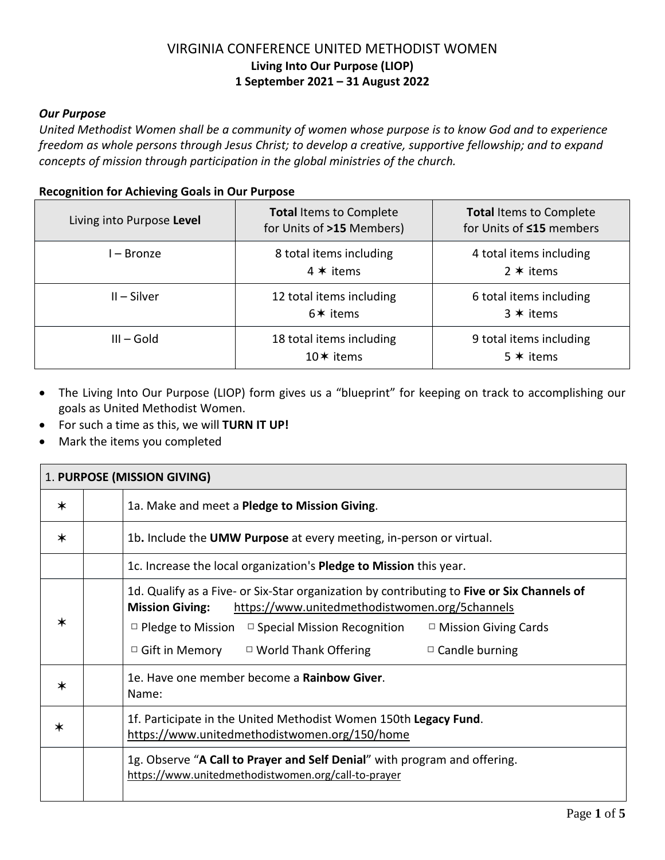#### *Our Purpose*

United Methodist Women shall be a community of women whose purpose is to know God and to experience *freedom as whole persons through Jesus Christ; to develop a creative, supportive fellowship; and to expand concepts of mission through participation in the global ministries of the church.*

#### **Recognition for Achieving Goals in Our Purpose**

| Living into Purpose Level | <b>Total Items to Complete</b><br>for Units of >15 Members) | <b>Total Items to Complete</b><br>for Units of ≤15 members |
|---------------------------|-------------------------------------------------------------|------------------------------------------------------------|
| l – Bronze                | 8 total items including<br>$4 * items$                      | 4 total items including<br>$2 * items$                     |
| $II - Silver$             | 12 total items including<br>$6*$ items                      | 6 total items including<br>$3 * items$                     |
| $III - Gold$              | 18 total items including<br>10 $*$ items                    | 9 total items including<br>$5 * items$                     |

- The Living Into Our Purpose (LIOP) form gives us a "blueprint" for keeping on track to accomplishing our goals as United Methodist Women.
- For such a time as this, we will **TURN IT UP!**
- Mark the items you completed

| 1. PURPOSE (MISSION GIVING) |  |                                                                                                                                                                                                                                                                                                                                                    |  |
|-----------------------------|--|----------------------------------------------------------------------------------------------------------------------------------------------------------------------------------------------------------------------------------------------------------------------------------------------------------------------------------------------------|--|
| $\ast$                      |  | 1a. Make and meet a Pledge to Mission Giving.                                                                                                                                                                                                                                                                                                      |  |
| $\star$                     |  | 1b. Include the UMW Purpose at every meeting, in-person or virtual.                                                                                                                                                                                                                                                                                |  |
|                             |  | 1c. Increase the local organization's <b>Pledge to Mission</b> this year.                                                                                                                                                                                                                                                                          |  |
| $\star$                     |  | 1d. Qualify as a Five- or Six-Star organization by contributing to Five or Six Channels of<br>https://www.unitedmethodistwomen.org/5channels<br><b>Mission Giving:</b><br>$\Box$ Pledge to Mission $\Box$ Special Mission Recognition<br>$\Box$ Mission Giving Cards<br>$\Box$ Gift in Memory $\Box$ World Thank Offering<br>$\Box$ Candle burning |  |
| $\ast$                      |  | 1e. Have one member become a Rainbow Giver.<br>Name:                                                                                                                                                                                                                                                                                               |  |
| $\ast$                      |  | 1f. Participate in the United Methodist Women 150th Legacy Fund.<br>https://www.unitedmethodistwomen.org/150/home                                                                                                                                                                                                                                  |  |
|                             |  | 1g. Observe "A Call to Prayer and Self Denial" with program and offering.<br>https://www.unitedmethodistwomen.org/call-to-prayer                                                                                                                                                                                                                   |  |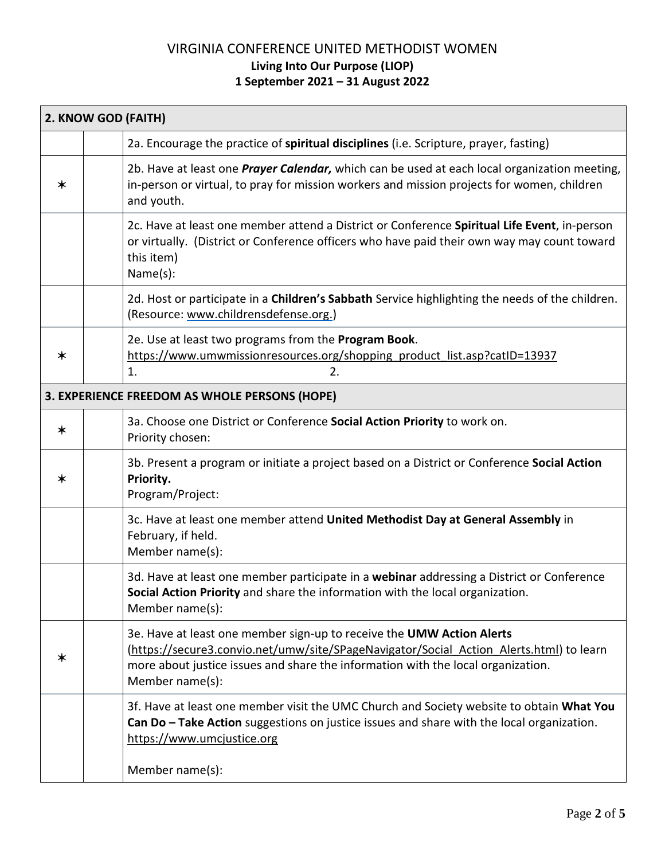| 2. KNOW GOD (FAITH) |                                                                                                                                                                                                                                                                         |
|---------------------|-------------------------------------------------------------------------------------------------------------------------------------------------------------------------------------------------------------------------------------------------------------------------|
|                     | 2a. Encourage the practice of spiritual disciplines (i.e. Scripture, prayer, fasting)                                                                                                                                                                                   |
| ∗                   | 2b. Have at least one <i>Prayer Calendar</i> , which can be used at each local organization meeting,<br>in-person or virtual, to pray for mission workers and mission projects for women, children<br>and youth.                                                        |
|                     | 2c. Have at least one member attend a District or Conference Spiritual Life Event, in-person<br>or virtually. (District or Conference officers who have paid their own way may count toward<br>this item)<br>Name(s):                                                   |
|                     | 2d. Host or participate in a Children's Sabbath Service highlighting the needs of the children.<br>(Resource: www.childrensdefense.org.)                                                                                                                                |
| ∗                   | 2e. Use at least two programs from the Program Book.<br>https://www.umwmissionresources.org/shopping product list.asp?catID=13937<br>1.<br>2.                                                                                                                           |
|                     | 3. EXPERIENCE FREEDOM AS WHOLE PERSONS (HOPE)                                                                                                                                                                                                                           |
| $\ast$              | 3a. Choose one District or Conference Social Action Priority to work on.<br>Priority chosen:                                                                                                                                                                            |
| $\ast$              | 3b. Present a program or initiate a project based on a District or Conference Social Action<br>Priority.<br>Program/Project:                                                                                                                                            |
|                     | 3c. Have at least one member attend United Methodist Day at General Assembly in<br>February, if held.<br>Member name(s):                                                                                                                                                |
|                     | 3d. Have at least one member participate in a webinar addressing a District or Conference<br>Social Action Priority and share the information with the local organization.<br>Member name(s):                                                                           |
| ∗                   | 3e. Have at least one member sign-up to receive the UMW Action Alerts<br>(https://secure3.convio.net/umw/site/SPageNavigator/Social Action Alerts.html) to learn<br>more about justice issues and share the information with the local organization.<br>Member name(s): |
|                     | 3f. Have at least one member visit the UMC Church and Society website to obtain What You<br>Can Do - Take Action suggestions on justice issues and share with the local organization.<br>https://www.umcjustice.org                                                     |
|                     | Member name(s):                                                                                                                                                                                                                                                         |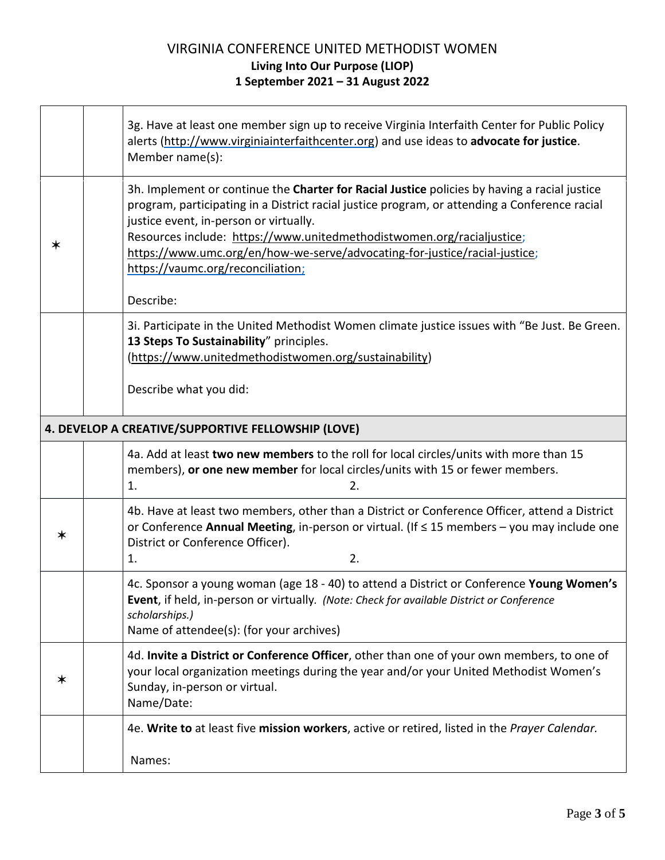|   |    | 3g. Have at least one member sign up to receive Virginia Interfaith Center for Public Policy<br>alerts (http://www.virginiainterfaithcenter.org) and use ideas to advocate for justice.<br>Member name(s):                                                                                                                                                                                                                                        |  |
|---|----|---------------------------------------------------------------------------------------------------------------------------------------------------------------------------------------------------------------------------------------------------------------------------------------------------------------------------------------------------------------------------------------------------------------------------------------------------|--|
| ∗ |    | 3h. Implement or continue the Charter for Racial Justice policies by having a racial justice<br>program, participating in a District racial justice program, or attending a Conference racial<br>justice event, in-person or virtually.<br>Resources include: https://www.unitedmethodistwomen.org/racialjustice;<br>https://www.umc.org/en/how-we-serve/advocating-for-justice/racial-justice;<br>https://vaumc.org/reconciliation;<br>Describe: |  |
|   |    | 3i. Participate in the United Methodist Women climate justice issues with "Be Just. Be Green.<br>13 Steps To Sustainability" principles.<br>(https://www.unitedmethodistwomen.org/sustainability)<br>Describe what you did:                                                                                                                                                                                                                       |  |
|   |    | 4. DEVELOP A CREATIVE/SUPPORTIVE FELLOWSHIP (LOVE)                                                                                                                                                                                                                                                                                                                                                                                                |  |
|   | 1. | 4a. Add at least two new members to the roll for local circles/units with more than 15<br>members), or one new member for local circles/units with 15 or fewer members.<br>2.                                                                                                                                                                                                                                                                     |  |
| ∗ | 1. | 4b. Have at least two members, other than a District or Conference Officer, attend a District<br>or Conference Annual Meeting, in-person or virtual. (If $\leq$ 15 members - you may include one<br>District or Conference Officer).<br>2.                                                                                                                                                                                                        |  |
|   |    | 4c. Sponsor a young woman (age 18 - 40) to attend a District or Conference Young Women's<br>Event, if held, in-person or virtually. (Note: Check for available District or Conference<br>scholarships.)<br>Name of attendee(s): (for your archives)                                                                                                                                                                                               |  |
| ∗ |    | 4d. Invite a District or Conference Officer, other than one of your own members, to one of<br>your local organization meetings during the year and/or your United Methodist Women's<br>Sunday, in-person or virtual.<br>Name/Date:                                                                                                                                                                                                                |  |
|   |    | 4e. Write to at least five mission workers, active or retired, listed in the Prayer Calendar.                                                                                                                                                                                                                                                                                                                                                     |  |
|   |    | Names:                                                                                                                                                                                                                                                                                                                                                                                                                                            |  |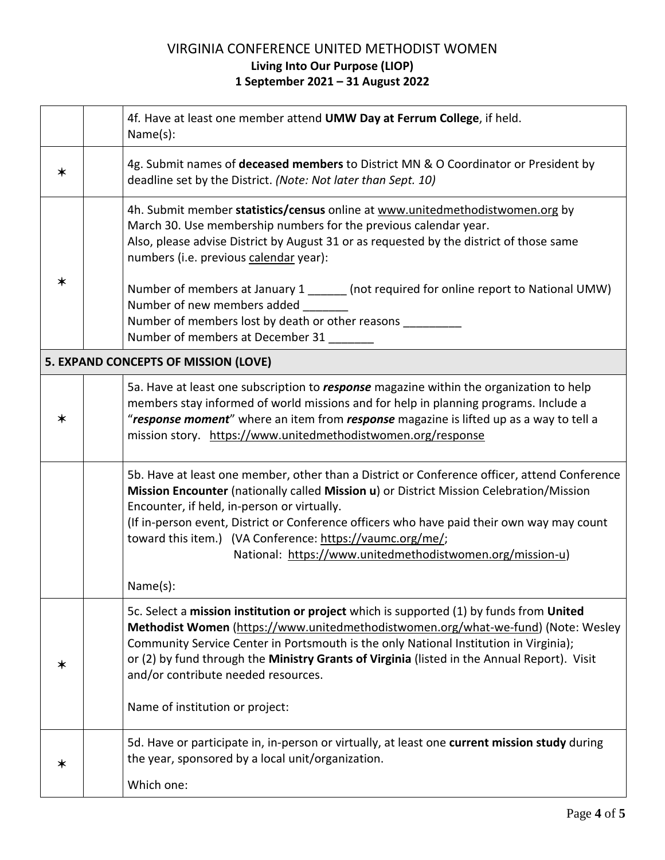|        | 4f. Have at least one member attend UMW Day at Ferrum College, if held.<br>Name(s):                                                                                                                                                                                                                                                                                                                                                                                                                               |
|--------|-------------------------------------------------------------------------------------------------------------------------------------------------------------------------------------------------------------------------------------------------------------------------------------------------------------------------------------------------------------------------------------------------------------------------------------------------------------------------------------------------------------------|
| ∗      | 4g. Submit names of deceased members to District MN & O Coordinator or President by<br>deadline set by the District. (Note: Not later than Sept. 10)                                                                                                                                                                                                                                                                                                                                                              |
| $\ast$ | 4h. Submit member statistics/census online at www.unitedmethodistwomen.org by<br>March 30. Use membership numbers for the previous calendar year.<br>Also, please advise District by August 31 or as requested by the district of those same<br>numbers (i.e. previous calendar year):<br>Number of members at January 1 ______ (not required for online report to National UMW)<br>Number of new members added<br>Number of members lost by death or other reasons _________<br>Number of members at December 31 |
|        | 5. EXPAND CONCEPTS OF MISSION (LOVE)                                                                                                                                                                                                                                                                                                                                                                                                                                                                              |
| $\ast$ | 5a. Have at least one subscription to <i>response</i> magazine within the organization to help<br>members stay informed of world missions and for help in planning programs. Include a<br>"response moment" where an item from response magazine is lifted up as a way to tell a<br>mission story. https://www.unitedmethodistwomen.org/response                                                                                                                                                                  |
|        | 5b. Have at least one member, other than a District or Conference officer, attend Conference<br>Mission Encounter (nationally called Mission u) or District Mission Celebration/Mission<br>Encounter, if held, in-person or virtually.<br>(If in-person event, District or Conference officers who have paid their own way may count<br>toward this item.) (VA Conference: https://vaumc.org/me/;<br>National: https://www.unitedmethodistwomen.org/mission-u)<br>Name(s):                                        |
| ∗      | 5c. Select a mission institution or project which is supported (1) by funds from United<br>Methodist Women (https://www.unitedmethodistwomen.org/what-we-fund) (Note: Wesley<br>Community Service Center in Portsmouth is the only National Institution in Virginia);<br>or (2) by fund through the Ministry Grants of Virginia (listed in the Annual Report). Visit<br>and/or contribute needed resources.<br>Name of institution or project:                                                                    |
| ∗      | 5d. Have or participate in, in-person or virtually, at least one current mission study during<br>the year, sponsored by a local unit/organization.<br>Which one:                                                                                                                                                                                                                                                                                                                                                  |